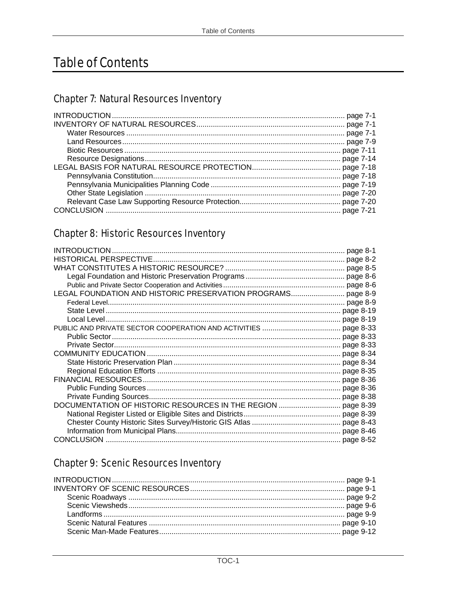# **Table of Contents**

# **Chapter 7: Natural Resources Inventory**

# **Chapter 8: Historic Resources Inventory**

# **Chapter 9: Scenic Resources Inventory**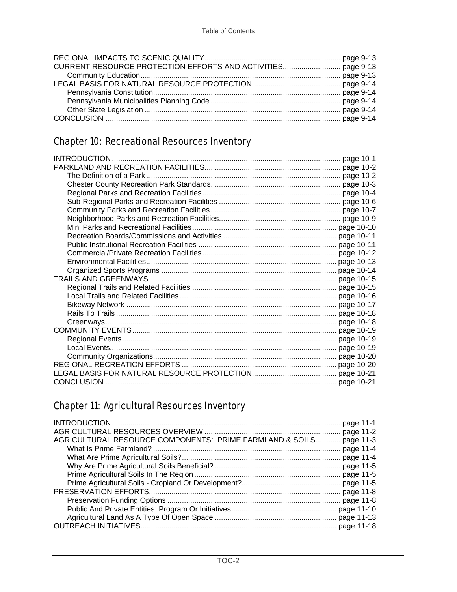# Chapter 10: Recreational Resources Inventory

# Chapter 11: Agricultural Resources Inventory

| AGRICULTURAL RESOURCE COMPONENTS: PRIME FARMLAND & SOILS page 11-3 |  |
|--------------------------------------------------------------------|--|
|                                                                    |  |
|                                                                    |  |
|                                                                    |  |
|                                                                    |  |
|                                                                    |  |
|                                                                    |  |
|                                                                    |  |
|                                                                    |  |
|                                                                    |  |
|                                                                    |  |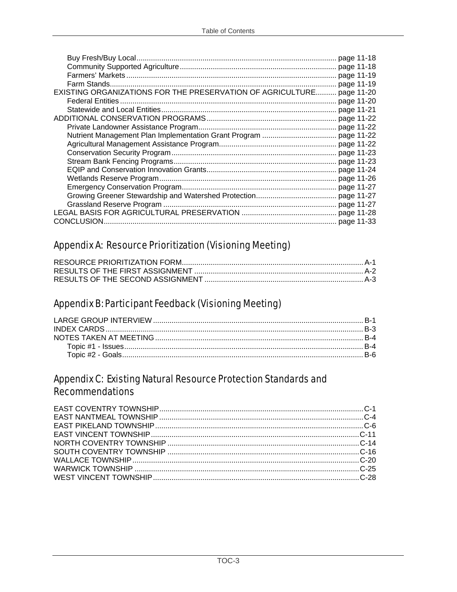|                                                                       | page 11-19 |  |
|-----------------------------------------------------------------------|------------|--|
|                                                                       |            |  |
| EXISTING ORGANIZATIONS FOR THE PRESERVATION OF AGRICULTURE page 11-20 |            |  |
|                                                                       | page 11-20 |  |
|                                                                       |            |  |
|                                                                       | page 11-22 |  |
|                                                                       | page 11-22 |  |
|                                                                       |            |  |
|                                                                       |            |  |
|                                                                       |            |  |
|                                                                       |            |  |
|                                                                       |            |  |
|                                                                       | page 11-26 |  |
|                                                                       | page 11-27 |  |
|                                                                       |            |  |
|                                                                       |            |  |
|                                                                       |            |  |
| CONCLUSION.                                                           |            |  |

# **Appendix A: Resource Prioritization (Visioning Meeting)**

### Appendix B: Participant Feedback (Visioning Meeting)

#### **Appendix C: Existing Natural Resource Protection Standards and Recommendations**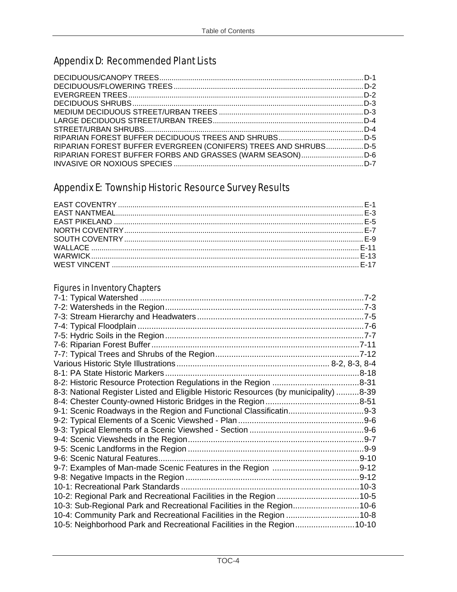# Appendix D: Recommended Plant Lists

| RIPARIAN FOREST BUFFER EVERGREEN (CONIFERS) TREES AND SHRUBSD-5 |  |
|-----------------------------------------------------------------|--|
|                                                                 |  |
|                                                                 |  |

# Appendix E: Township Historic Resource Survey Results

#### Figures in Inventory Chapters

| 8-3: National Register Listed and Eligible Historic Resources (by municipality) 8-39 |  |
|--------------------------------------------------------------------------------------|--|
|                                                                                      |  |
|                                                                                      |  |
|                                                                                      |  |
|                                                                                      |  |
|                                                                                      |  |
|                                                                                      |  |
|                                                                                      |  |
|                                                                                      |  |
|                                                                                      |  |
|                                                                                      |  |
| 10-2: Regional Park and Recreational Facilities in the Region 10-5                   |  |
| 10-3: Sub-Regional Park and Recreational Facilities in the Region10-6                |  |
| 10-4: Community Park and Recreational Facilities in the Region 10-8                  |  |
| 10-5: Neighborhood Park and Recreational Facilities in the Region10-10               |  |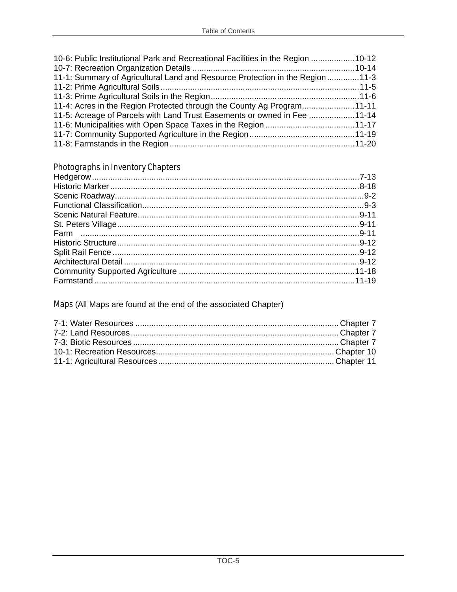| 10-6: Public Institutional Park and Recreational Facilities in the Region 10-12 |  |
|---------------------------------------------------------------------------------|--|
|                                                                                 |  |
| 11-1: Summary of Agricultural Land and Resource Protection in the Region  11-3  |  |
|                                                                                 |  |
|                                                                                 |  |
| 11-4: Acres in the Region Protected through the County Ag Program11-11          |  |
| 11-5: Acreage of Parcels with Land Trust Easements or owned in Fee 11-14        |  |
|                                                                                 |  |
|                                                                                 |  |
|                                                                                 |  |

# **Photographs in Inventory Chapters**

Maps (All Maps are found at the end of the associated Chapter)